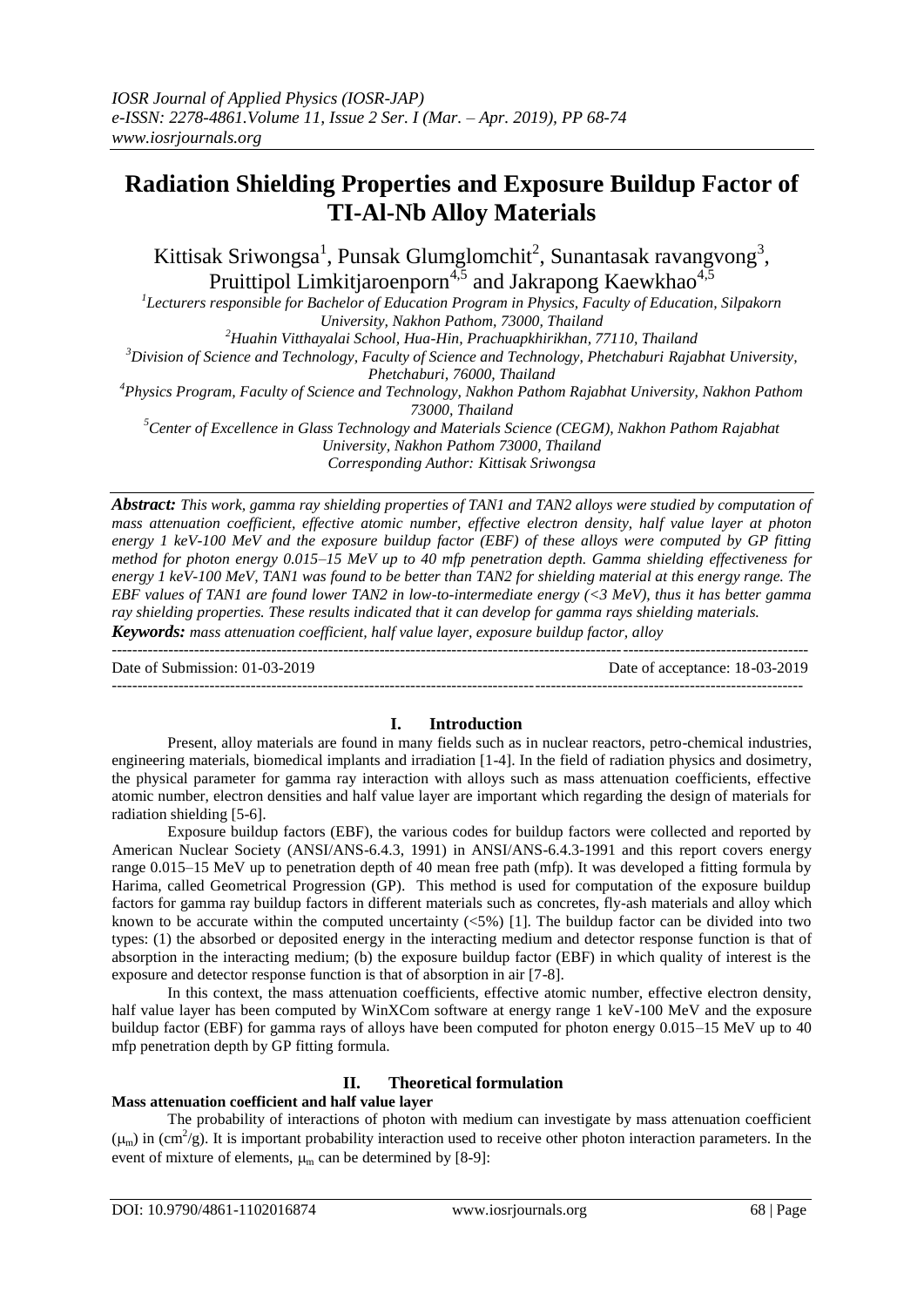# **Radiation Shielding Properties and Exposure Buildup Factor of TI-Al-Nb Alloy Materials**

Kittisak Sriwongsa<sup>1</sup>, Punsak Glumglomchit<sup>2</sup>, Sunantasak ravangvong<sup>3</sup>, Pruittipol Limkitjaroenporn<sup>4,5</sup> and Jakrapong Kaewkhao<sup>4,5</sup>

*1 Lecturers responsible for Bachelor of Education Program in Physics, Faculty of Education, Silpakorn University, Nakhon Pathom, 73000, Thailand*

*<sup>2</sup>Huahin Vitthayalai School, Hua-Hin, Prachuapkhirikhan, 77110, Thailand*

*<sup>3</sup>Division of Science and Technology, Faculty of Science and Technology, Phetchaburi Rajabhat University,* 

*Phetchaburi, 76000, Thailand*

*<sup>4</sup>Physics Program, Faculty of Science and Technology, Nakhon Pathom Rajabhat University, Nakhon Pathom* 

*73000, Thailand*

*<sup>5</sup>Center of Excellence in Glass Technology and Materials Science (CEGM), Nakhon Pathom Rajabhat University, Nakhon Pathom 73000, Thailand Corresponding Author: Kittisak Sriwongsa*

*Abstract: This work, gamma ray shielding properties of TAN1 and TAN2 alloys were studied by computation of mass attenuation coefficient, effective atomic number, effective electron density, half value layer at photon energy 1 keV-100 MeV and the exposure buildup factor (EBF) of these alloys were computed by GP fitting method for photon energy 0.015–15 MeV up to 40 mfp penetration depth. Gamma shielding effectiveness for energy 1 keV-100 MeV, TAN1 was found to be better than TAN2 for shielding material at this energy range. The EBF values of TAN1 are found lower TAN2 in low-to-intermediate energy (<3 MeV), thus it has better gamma ray shielding properties. These results indicated that it can develop for gamma rays shielding materials.*

*Keywords: mass attenuation coefficient, half value layer, exposure buildup factor, alloy*

Date of Submission: 01-03-2019 Date of acceptance: 18-03-2019

---------------------------------------------------------------------------------------------------------------------------------------

# **I. Introduction**

--------------------------------------------------------------------------------------------------------------------------------------

Present, alloy materials are found in many fields such as in nuclear reactors, petro-chemical industries, engineering materials, biomedical implants and irradiation [1-4]. In the field of radiation physics and dosimetry, the physical parameter for gamma ray interaction with alloys such as mass attenuation coefficients, effective atomic number, electron densities and half value layer are important which regarding the design of materials for radiation shielding [5-6].

Exposure buildup factors (EBF), the various codes for buildup factors were collected and reported by American Nuclear Society (ANSI/ANS-6.4.3, 1991) in ANSI/ANS-6.4.3-1991 and this report covers energy range 0.015–15 MeV up to penetration depth of 40 mean free path (mfp). It was developed a fitting formula by Harima, called Geometrical Progression (GP). This method is used for computation of the exposure buildup factors for gamma ray buildup factors in different materials such as concretes, fly-ash materials and alloy which known to be accurate within the computed uncertainty  $(\leq 5\%)$  [1]. The buildup factor can be divided into two types: (1) the absorbed or deposited energy in the interacting medium and detector response function is that of absorption in the interacting medium; (b) the exposure buildup factor (EBF) in which quality of interest is the exposure and detector response function is that of absorption in air [7-8].

In this context, the mass attenuation coefficients, effective atomic number, effective electron density, half value layer has been computed by WinXCom software at energy range 1 keV-100 MeV and the exposure buildup factor (EBF) for gamma rays of alloys have been computed for photon energy 0.015–15 MeV up to 40 mfp penetration depth by GP fitting formula.

# **II. Theoretical formulation**

# **Mass attenuation coefficient and half value layer**

The probability of interactions of photon with medium can investigate by mass attenuation coefficient  $(\mu_m)$  in (cm<sup>2</sup>/g). It is important probability interaction used to receive other photon interaction parameters. In the event of mixture of elements,  $\mu_m$  can be determined by [8-9]: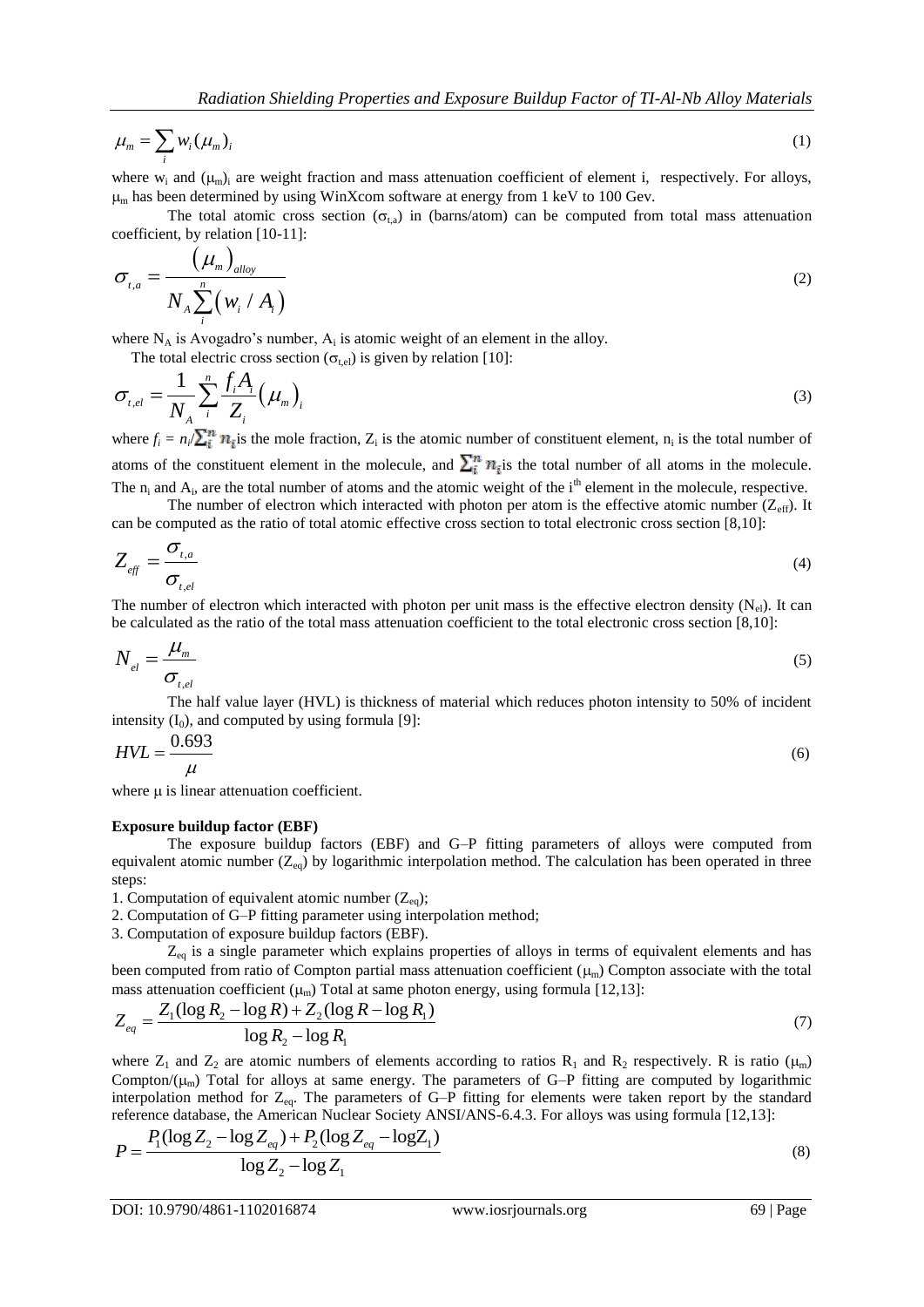$$
\mu_m = \sum_i w_i (\mu_m)_i \tag{1}
$$

where  $w_i$  and  $(\mu_m)_i$  are weight fraction and mass attenuation coefficient of element i, respectively. For alloys,  $\mu$ <sub>m</sub> has been determined by using WinXcom software at energy from 1 keV to 100 Gev.

The total atomic cross section ( $\sigma_{ta}$ ) in (barns/atom) can be computed from total mass attenuation coefficient, by relation [10-11]:

$$
\sigma_{t,a} = \frac{(\mu_m)_{\text{alloy}}}{N_A \sum_{i}^{n} (w_i / A_i)}
$$
(2)

where  $N_A$  is Avogadro's number,  $A_i$  is atomic weight of an element in the alloy.

The total electric cross section 
$$
(\sigma_{t,el})
$$
 is given by relation [10]:  
\n
$$
\sigma_{t,el} = \frac{1}{N_A} \sum_{i}^{n} \frac{f_i A_i}{Z_i} (\mu_m)_i
$$
\n(3)

where  $f_i = n_i / \sum_i^n n_i$  is the mole fraction,  $Z_i$  is the atomic number of constituent element,  $n_i$  is the total number of atoms of the constituent element in the molecule, and  $\sum_i^n n_i$  is the total number of all atoms in the molecule. The  $n_i$  and  $A_i$ , are the total number of atoms and the atomic weight of the i<sup>th</sup> element in the molecule, respective.

The number of electron which interacted with photon per atom is the effective atomic number ( $Z_{\text{eff}}$ ). It can be computed as the ratio of total atomic effective cross section to total electronic cross section [8,10]:

$$
Z_{\text{eff}} = \frac{\sigma_{\text{t,a}}}{\sigma_{\text{t,el}}} \tag{4}
$$

The number of electron which interacted with photon per unit mass is the effective electron density  $(N_{el})$ . It can be calculated as the ratio of the total mass attenuation coefficient to the total electronic cross section [8,10]:

$$
N_{el} = \frac{\mu_m}{\sigma_{t,el}} \tag{5}
$$

The half value layer (HVL) is thickness of material which reduces photon intensity to 50% of incident intensity  $(I_0)$ , and computed by using formula [9]:

$$
HVL = \frac{0.693}{\mu} \tag{6}
$$

where  $\mu$  is linear attenuation coefficient.

#### **Exposure buildup factor (EBF)**

The exposure buildup factors (EBF) and G–P fitting parameters of alloys were computed from equivalent atomic number  $(Z_{eq})$  by logarithmic interpolation method. The calculation has been operated in three steps:

1. Computation of equivalent atomic number  $(Z_{eq})$ ;

2. Computation of G–P fitting parameter using interpolation method;

3. Computation of exposure buildup factors (EBF).

 $Z_{eq}$  is a single parameter which explains properties of alloys in terms of equivalent elements and has been computed from ratio of Compton partial mass attenuation coefficient  $(\mu_m)$  Compton associate with the total

been computed from ratio of Compton partial mass attenuation coefficient 
$$
(\mu_m)
$$
 Compton associated with the total mass attenuation coefficient  $(\mu_m)$  Total at same photon energy, using formula [12,13]:  
\n
$$
Z_{eq} = \frac{Z_1 (\log R_2 - \log R) + Z_2 (\log R - \log R_1)}{\log R_2 - \log R_1}
$$
\n(7)

where  $Z_1$  and  $Z_2$  are atomic numbers of elements according to ratios  $R_1$  and  $R_2$  respectively. R is ratio ( $\mu_m$ ) Compton/ $(\mu_m)$  Total for alloys at same energy. The parameters of G–P fitting are computed by logarithmic interpolation method for Z<sub>eq</sub>. The parameters of G–P fitting for elements were taken report by the standard interpolation method for  $Z_{eq}$ . The parameters of G–P fitting for elements were taken report by the state reference database, the American Nuclear Society ANSI/ANS-6.4.3. For alloys was using formula [12,13]:<br> $P = \frac{P_1(\log$ 

$$
P = \frac{P_1(\log Z_2 - \log Z_{eq}) + P_2(\log Z_{eq} - \log Z_1)}{\log Z_2 - \log Z_1}
$$
\n(8)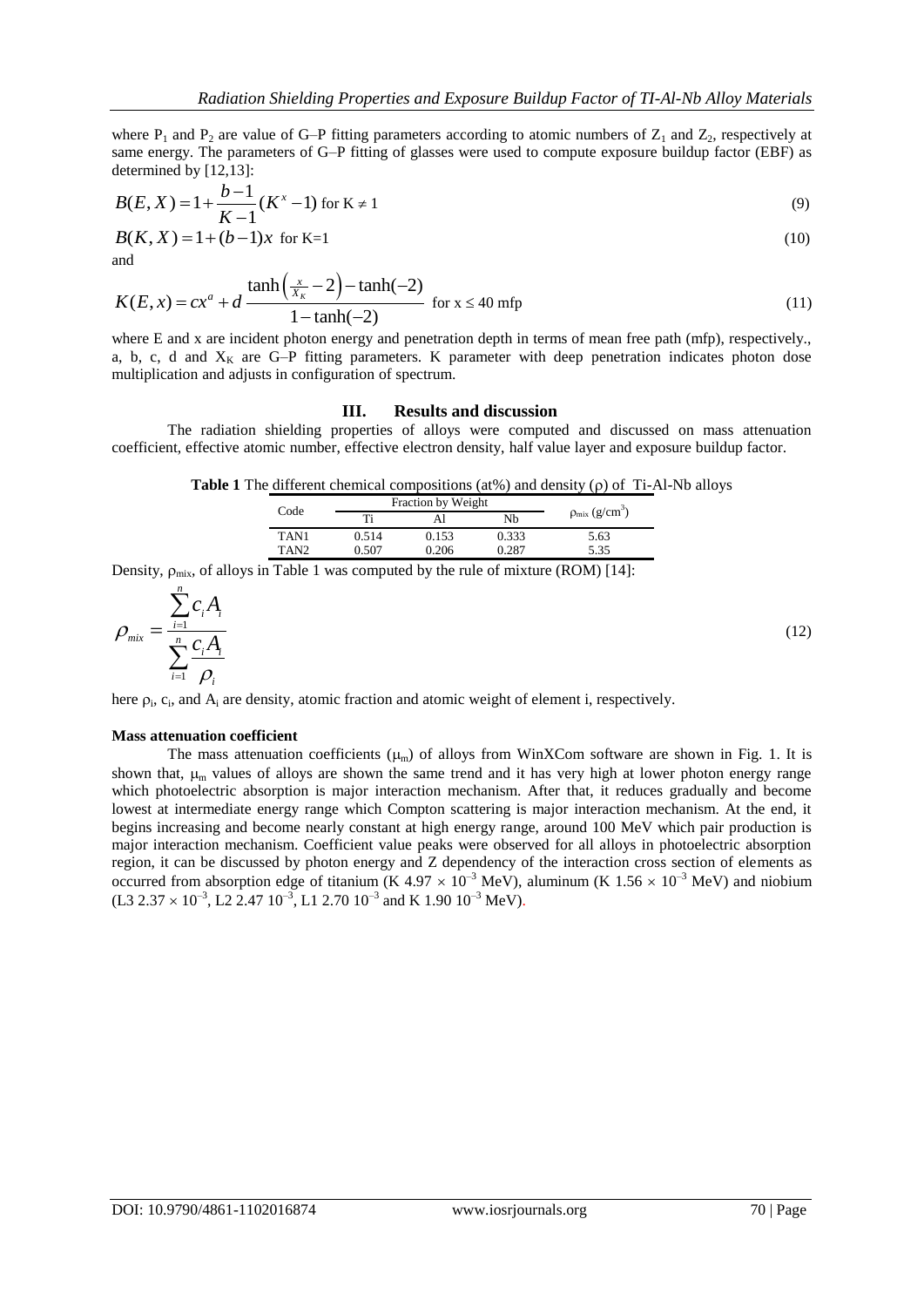where  $P_1$  and  $P_2$  are value of G–P fitting parameters according to atomic numbers of  $Z_1$  and  $Z_2$ , respectively at same energy. The parameters of G–P fitting of glasses were used to compute exposure buildup factor (EBF) as determined by [12,13]:

$$
B(E, X) = 1 + \frac{b-1}{K-1} (K^x - 1) \text{ for } K \neq 1
$$
 (9)

$$
B(K, X) = 1 + (b - 1)x
$$
 for K=1 (10)  
and

and  
\n
$$
K(E, x) = cx^{a} + d \frac{\tanh(\frac{x}{X_{K}} - 2) - \tanh(-2)}{1 - \tanh(-2)} \text{ for } x \le 40 \text{ mfp}
$$
\n(11)

where E and x are incident photon energy and penetration depth in terms of mean free path (mfp), respectively. a, b, c, d and  $X_K$  are G–P fitting parameters. K parameter with deep penetration indicates photon dose multiplication and adjusts in configuration of spectrum.

#### **III. Results and discussion**

The radiation shielding properties of alloys were computed and discussed on mass attenuation coefficient, effective atomic number, effective electron density, half value layer and exposure buildup factor.

**Table 1** The different chemical compositions (at%) and density ( $\rho$ ) of Ti-Al-Nb alloys

| Code             |       | <b>Fraction by Weight</b> |       |                             |  |  |  |
|------------------|-------|---------------------------|-------|-----------------------------|--|--|--|
|                  |       |                           | Nb    | $\rho_{\text{mix}}(g/cm^3)$ |  |  |  |
| TAN1             | 0.514 | 0.153                     | 0.333 | 5.63                        |  |  |  |
| TAN <sub>2</sub> | 0.507 | 0.206                     | 0.287 | 5.35                        |  |  |  |

Density,  $\rho_{mix}$ , of alloys in Table 1 was computed by the rule of mixture (ROM) [14]:

$$
\rho_{\text{mix}} = \frac{\sum_{i=1}^{n} c_i A_i}{\sum_{i=1}^{n} \frac{c_i A_i}{\rho_i}}
$$
\n(12)

here  $\rho_i$ ,  $c_i$ , and  $A_i$  are density, atomic fraction and atomic weight of element i, respectively.

#### **Mass attenuation coefficient**

The mass attenuation coefficients  $(\mu_m)$  of alloys from WinXCom software are shown in Fig. 1. It is shown that,  $\mu_{\rm m}$  values of alloys are shown the same trend and it has very high at lower photon energy range which photoelectric absorption is major interaction mechanism. After that, it reduces gradually and become lowest at intermediate energy range which Compton scattering is major interaction mechanism. At the end, it begins increasing and become nearly constant at high energy range, around 100 MeV which pair production is major interaction mechanism. Coefficient value peaks were observed for all alloys in photoelectric absorption region, it can be discussed by photon energy and Z dependency of the interaction cross section of elements as occurred from absorption edge of titanium (K 4.97  $\times$  10<sup>-3</sup> MeV), aluminum (K 1.56  $\times$  10<sup>-3</sup> MeV) and niobium  $(L3\ 2.37 \times 10^{-3}, L2\ 2.47\ 10^{-3}, L1\ 2.70\ 10^{-3}$  and K  $1.90\ 10^{-3}\ MeV$ ).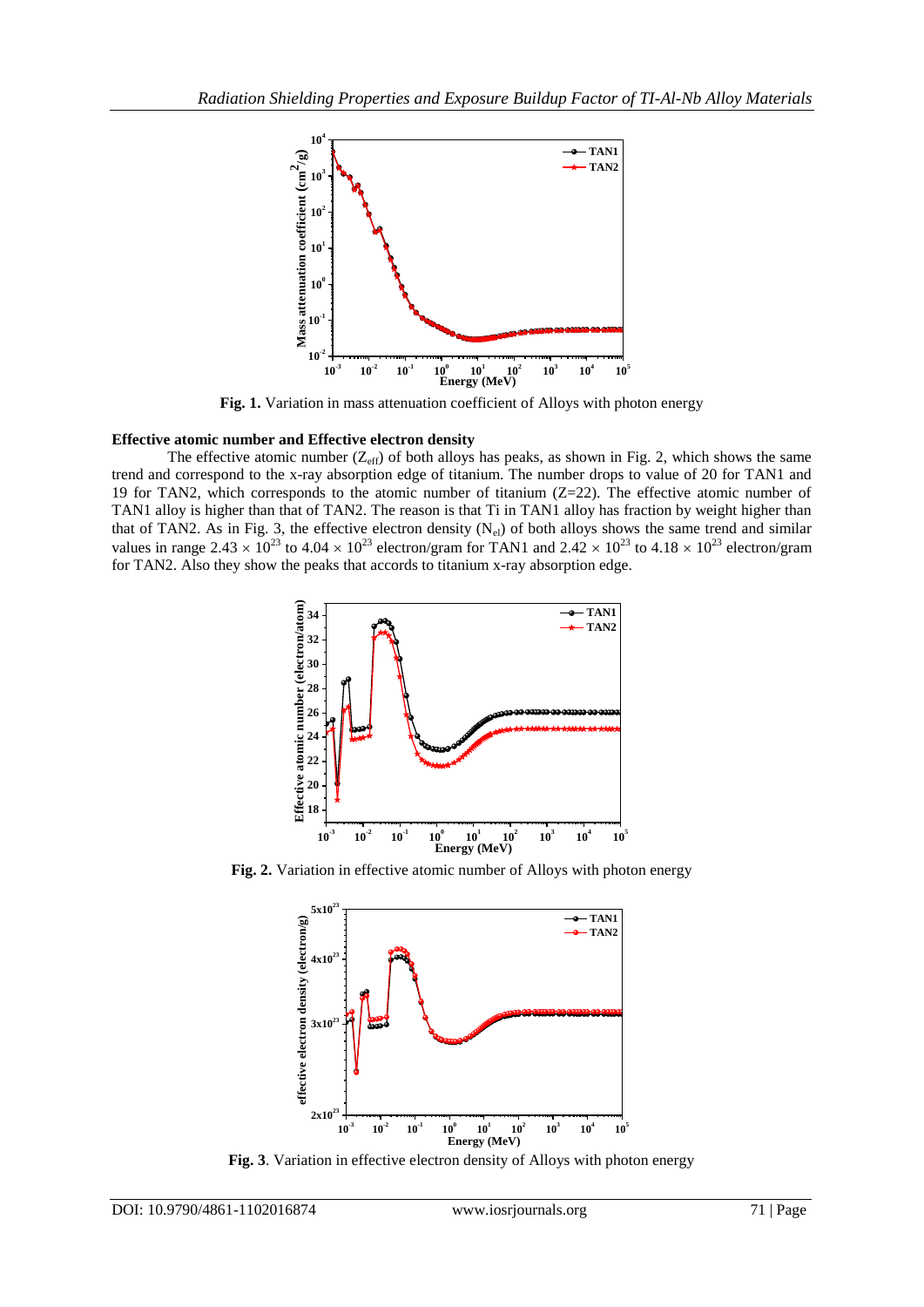

**Fig. 1.** Variation in mass attenuation coefficient of Alloys with photon energy

## **Effective atomic number and Effective electron density**

The effective atomic number  $(Z_{\text{eff}})$  of both alloys has peaks, as shown in Fig. 2, which shows the same trend and correspond to the x-ray absorption edge of titanium. The number drops to value of 20 for TAN1 and 19 for TAN2, which corresponds to the atomic number of titanium  $(Z=22)$ . The effective atomic number of TAN1 alloy is higher than that of TAN2. The reason is that Ti in TAN1 alloy has fraction by weight higher than that of TAN2. As in Fig. 3, the effective electron density  $(N_{el})$  of both alloys shows the same trend and similar values in range 2.43  $\times$  10<sup>23</sup> to 4.04  $\times$  10<sup>23</sup> electron/gram for TAN1 and 2.42  $\times$  10<sup>23</sup> to 4.18  $\times$  10<sup>23</sup> electron/gram for TAN2. Also they show the peaks that accords to titanium x-ray absorption edge.



**Fig. 2.** Variation in effective atomic number of Alloys with photon energy



**Fig. 3**. Variation in effective electron density of Alloys with photon energy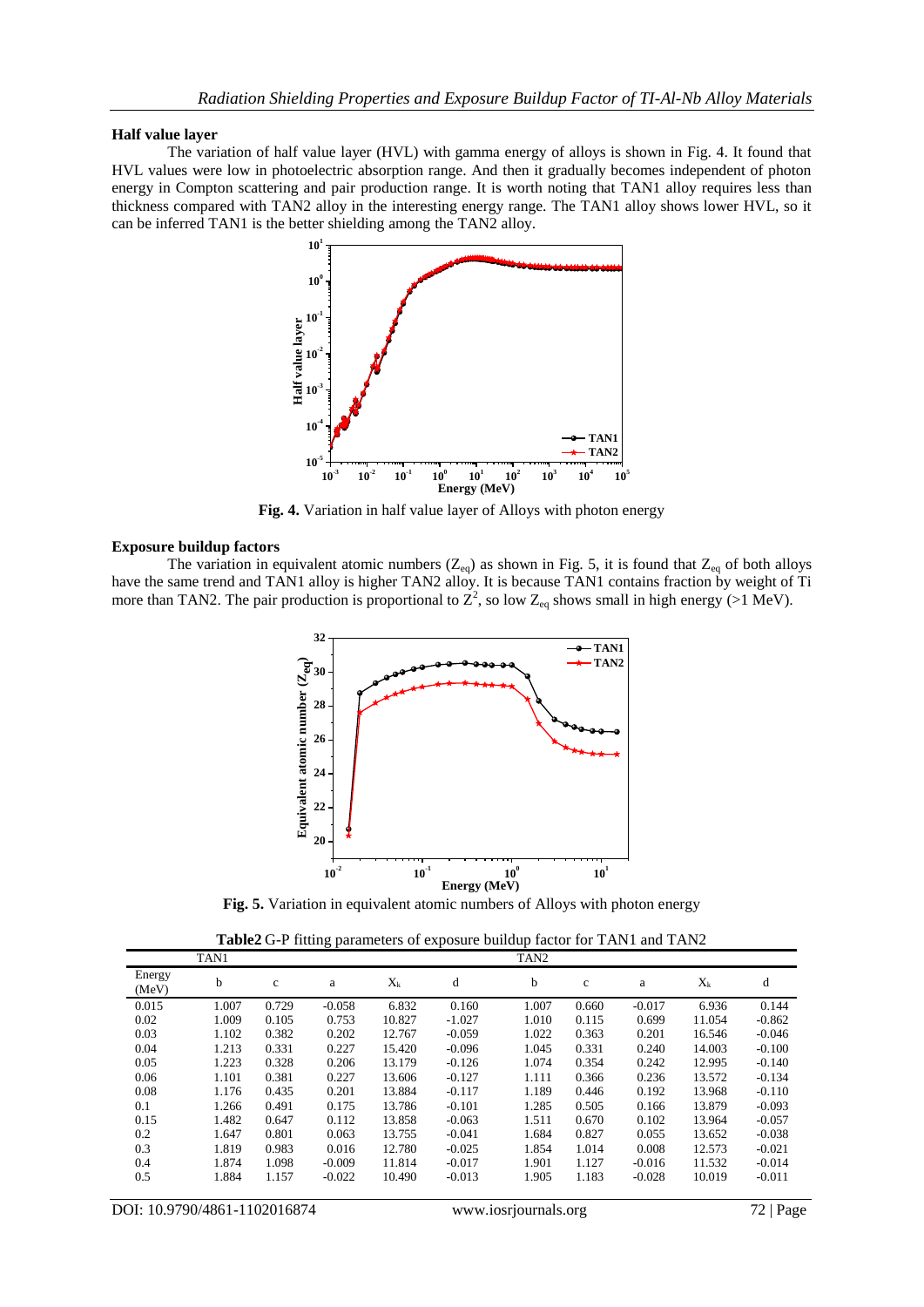### **Half value layer**

The variation of half value layer (HVL) with gamma energy of alloys is shown in Fig. 4. It found that HVL values were low in photoelectric absorption range. And then it gradually becomes independent of photon energy in Compton scattering and pair production range. It is worth noting that TAN1 alloy requires less than thickness compared with TAN2 alloy in the interesting energy range. The TAN1 alloy shows lower HVL, so it can be inferred TAN1 is the better shielding among the TAN2 alloy.



**Fig. 4.** Variation in half value layer of Alloys with photon energy

## **Exposure buildup factors**

The variation in equivalent atomic numbers  $(Z_{eq})$  as shown in Fig. 5, it is found that  $Z_{eq}$  of both alloys have the same trend and TAN1 alloy is higher TAN2 alloy. It is because TAN1 contains fraction by weight of Ti more than TAN2. The pair production is proportional to  $Z^2$ , so low  $Z_{eq}$  shows small in high energy (>1 MeV).



**Fig. 5.** Variation in equivalent atomic numbers of Alloys with photon energy

**Table2** G-P fitting parameters of exposure buildup factor for TAN1 and TAN2

|                 | TAN1  |             |          |         |          | TAN <sub>2</sub> |             |          |         |          |
|-----------------|-------|-------------|----------|---------|----------|------------------|-------------|----------|---------|----------|
| Energy<br>(MeV) | b     | $\mathbf c$ | a        | $X_{k}$ | d        | b                | $\mathbf c$ | a        | $X_{k}$ | d        |
| 0.015           | 1.007 | 0.729       | $-0.058$ | 6.832   | 0.160    | 1.007            | 0.660       | $-0.017$ | 6.936   | 0.144    |
| 0.02            | 1.009 | 0.105       | 0.753    | 10.827  | $-1.027$ | 1.010            | 0.115       | 0.699    | 11.054  | $-0.862$ |
| 0.03            | 1.102 | 0.382       | 0.202    | 12.767  | $-0.059$ | 1.022            | 0.363       | 0.201    | 16.546  | $-0.046$ |
| 0.04            | 1.213 | 0.331       | 0.227    | 15.420  | $-0.096$ | 1.045            | 0.331       | 0.240    | 14.003  | $-0.100$ |
| 0.05            | 1.223 | 0.328       | 0.206    | 13.179  | $-0.126$ | 1.074            | 0.354       | 0.242    | 12.995  | $-0.140$ |
| 0.06            | 1.101 | 0.381       | 0.227    | 13.606  | $-0.127$ | 1.111            | 0.366       | 0.236    | 13.572  | $-0.134$ |
| 0.08            | 1.176 | 0.435       | 0.201    | 13.884  | $-0.117$ | 1.189            | 0.446       | 0.192    | 13.968  | $-0.110$ |
| 0.1             | 1.266 | 0.491       | 0.175    | 13.786  | $-0.101$ | 1.285            | 0.505       | 0.166    | 13.879  | $-0.093$ |
| 0.15            | 1.482 | 0.647       | 0.112    | 13.858  | $-0.063$ | 1.511            | 0.670       | 0.102    | 13.964  | $-0.057$ |
| 0.2             | 1.647 | 0.801       | 0.063    | 13.755  | $-0.041$ | 1.684            | 0.827       | 0.055    | 13.652  | $-0.038$ |
| 0.3             | 1.819 | 0.983       | 0.016    | 12.780  | $-0.025$ | 1.854            | 1.014       | 0.008    | 12.573  | $-0.021$ |
| 0.4             | 1.874 | 1.098       | $-0.009$ | 11.814  | $-0.017$ | 1.901            | 1.127       | $-0.016$ | 11.532  | $-0.014$ |
| 0.5             | 1.884 | 1.157       | $-0.022$ | 10.490  | $-0.013$ | 1.905            | 1.183       | $-0.028$ | 10.019  | $-0.011$ |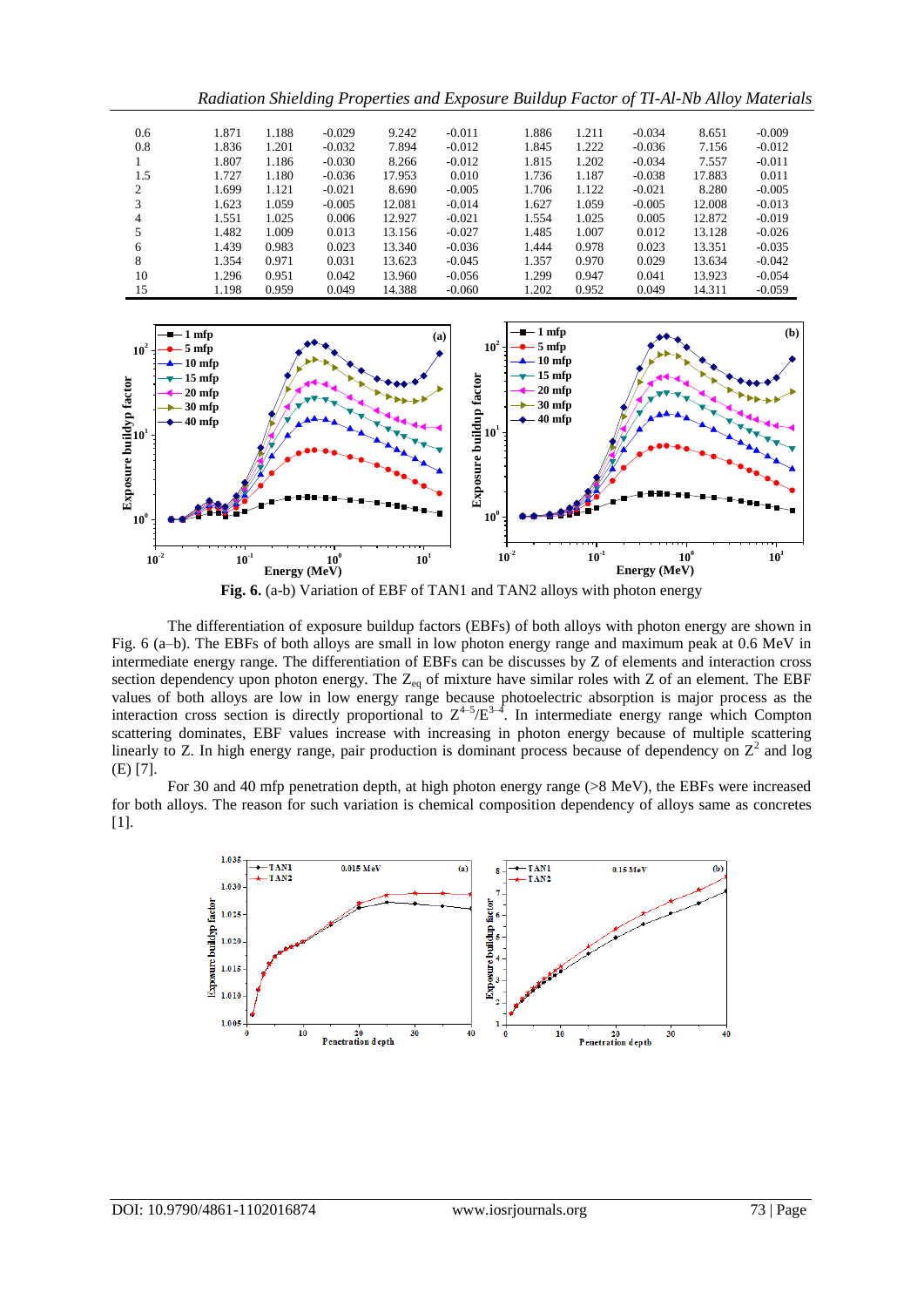|     |       |       |          |        |          | Radiation Shietaing I roperties and Exposure Buildup Pactor of 11-At-N0 Attoy Material |       |          |        |          |
|-----|-------|-------|----------|--------|----------|----------------------------------------------------------------------------------------|-------|----------|--------|----------|
|     |       |       |          |        |          |                                                                                        |       |          |        |          |
| 0.6 | 1.871 | 1.188 | $-0.029$ | 9.242  | $-0.011$ | 1.886                                                                                  | 1.211 | $-0.034$ | 8.651  | $-0.009$ |
| 0.8 | 1.836 | 1.201 | $-0.032$ | 7.894  | $-0.012$ | 1.845                                                                                  | 1.222 | $-0.036$ | 7.156  | $-0.012$ |
|     | 1.807 | 1.186 | $-0.030$ | 8.266  | $-0.012$ | 1.815                                                                                  | 1.202 | $-0.034$ | 7.557  | $-0.011$ |
| 1.5 | 1.727 | 1.180 | $-0.036$ | 17.953 | 0.010    | 1.736                                                                                  | 1.187 | $-0.038$ | 17.883 | 0.011    |
| 2   | 1.699 | 1.121 | $-0.021$ | 8.690  | $-0.005$ | 1.706                                                                                  | 1.122 | $-0.021$ | 8.280  | $-0.005$ |
| 3   | 1.623 | 1.059 | $-0.005$ | 12.081 | $-0.014$ | 1.627                                                                                  | 1.059 | $-0.005$ | 12.008 | $-0.013$ |
| 4   | 1.551 | 1.025 | 0.006    | 12.927 | $-0.021$ | 1.554                                                                                  | 1.025 | 0.005    | 12.872 | $-0.019$ |
| 5   | 1.482 | 1.009 | 0.013    | 13.156 | $-0.027$ | 1.485                                                                                  | 1.007 | 0.012    | 13.128 | $-0.026$ |
| 6   | 1.439 | 0.983 | 0.023    | 13.340 | $-0.036$ | 1.444                                                                                  | 0.978 | 0.023    | 13.351 | $-0.035$ |
| 8   | 1.354 | 0.971 | 0.031    | 13.623 | $-0.045$ | 1.357                                                                                  | 0.970 | 0.029    | 13.634 | $-0.042$ |
| 10  | 1.296 | 0.951 | 0.042    | 13.960 | $-0.056$ | 1.299                                                                                  | 0.947 | 0.041    | 13.923 | $-0.054$ |
| 15  | 1.198 | 0.959 | 0.049    | 14.388 | $-0.060$ | 1.202                                                                                  | 0.952 | 0.049    | 14.311 | $-0.059$ |

*Radiation Shielding Properties and Exposure Buildup Factor of TI-Al-Nb Alloy Materials*





The differentiation of exposure buildup factors (EBFs) of both alloys with photon energy are shown in Fig. 6 (a–b). The EBFs of both alloys are small in low photon energy range and maximum peak at 0.6 MeV in intermediate energy range. The differentiation of EBFs can be discusses by Z of elements and interaction cross section dependency upon photon energy. The  $Z_{eq}$  of mixture have similar roles with Z of an element. The EBF values of both alloys are low in low energy range because photoelectric absorption is major process as the interaction cross section is directly proportional to  $Z^{4-5}/E^{3-4}$ . In intermediate energy range which Compton scattering dominates, EBF values increase with increasing in photon energy because of multiple scattering linearly to Z. In high energy range, pair production is dominant process because of dependency on  $Z^2$  and log (E) [7].

For 30 and 40 mfp penetration depth, at high photon energy range (>8 MeV), the EBFs were increased for both alloys. The reason for such variation is chemical composition dependency of alloys same as concretes [1].